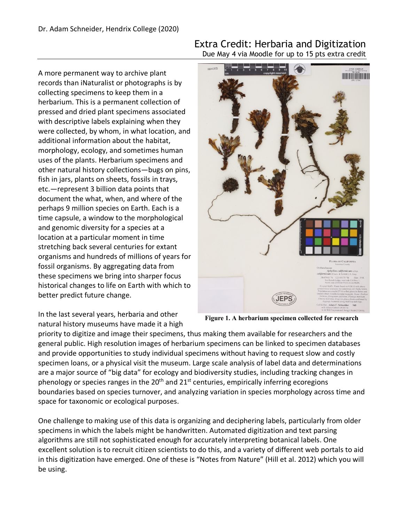A more permanent way to archive plant records than iNaturalist or photographs is by collecting specimens to keep them in a herbarium. This is a permanent collection of pressed and dried plant specimens associated with descriptive labels explaining when they were collected, by whom, in what location, and additional information about the habitat, morphology, ecology, and sometimes human uses of the plants. Herbarium specimens and other natural history collections—bugs on pins, fish in jars, plants on sheets, fossils in trays, etc.—represent 3 billion data points that document the what, when, and where of the perhaps 9 million species on Earth. Each is a time capsule, a window to the morphological and genomic diversity for a species at a location at a particular moment in time stretching back several centuries for extant organisms and hundreds of millions of years for fossil organisms. By aggregating data from these specimens we bring into sharper focus historical changes to life on Earth with which to better predict future change.

In the last several years, herbaria and other natural history museums have made it a high

## Extra Credit: Herbaria and Digitization Due May 4 via Moodle for up to 15 pts extra credit



**Figure 1. A herbarium specimen collected for research**

priority to digitize and image their specimens, thus making them available for researchers and the general public. High resolution images of herbarium specimens can be linked to specimen databases and provide opportunities to study individual specimens without having to request slow and costly specimen loans, or a physical visit the museum. Large scale analysis of label data and determinations are a major source of "big data" for ecology and biodiversity studies, including tracking changes in phenology or species ranges in the  $20<sup>th</sup>$  and  $21<sup>st</sup>$  centuries, empirically inferring ecoregions boundaries based on species turnover, and analyzing variation in species morphology across time and space for taxonomic or ecological purposes.

One challenge to making use of this data is organizing and deciphering labels, particularly from older specimens in which the labels might be handwritten. Automated digitization and text parsing algorithms are still not sophisticated enough for accurately interpreting botanical labels. One excellent solution is to recruit citizen scientists to do this, and a variety of different web portals to aid in this digitization have emerged. One of these is "Notes from Nature" (Hill et al. 2012) which you will be using.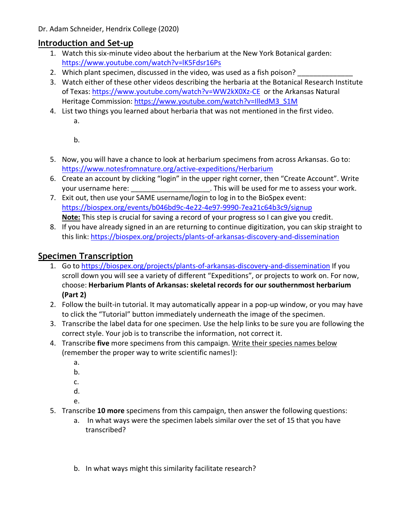Dr. Adam Schneider, Hendrix College (2020)

## **Introduction and Set-up**

- 1. Watch this six-minute video about the herbarium at the New York Botanical garden: https://www.youtube.com/watch?v=lK5Fdsr16Ps
- 2. Which plant specimen, discussed in the video, was used as a fish poison?
- 3. Watch either of these other videos describing the herbaria at the Botanical Research Institute of Texas: https://www.youtube.com/watch?v=WW2kX0Xz-CE or the Arkansas Natural Heritage Commission: https://www.youtube.com/watch?v=IlledM3\_S1M
- 4. List two things you learned about herbaria that was not mentioned in the first video. a.

b.

- 5. Now, you will have a chance to look at herbarium specimens from across Arkansas. Go to: https://www.notesfromnature.org/active-expeditions/Herbarium
- 6. Create an account by clicking "login" in the upper right corner, then "Create Account". Write your username here:  $\blacksquare$  . This will be used for me to assess your work.
- 7. Exit out, then use your SAME username/login to log in to the BioSpex event: https://biospex.org/events/b046bd9c-4e22-4e97-9990-7ea21c64b3c9/signup **Note:** This step is crucial for saving a record of your progress so I can give you credit.
- 8. If you have already signed in an are returning to continue digitization, you can skip straight to this link: https://biospex.org/projects/plants-of-arkansas-discovery-and-dissemination

## **Specimen Transcription**

- 1. Go to https://biospex.org/projects/plants-of-arkansas-discovery-and-dissemination If you scroll down you will see a variety of different "Expeditions", or projects to work on. For now, choose: **Herbarium Plants of Arkansas: skeletal records for our southernmost herbarium (Part 2)**
- 2. Follow the built-in tutorial. It may automatically appear in a pop-up window, or you may have to click the "Tutorial" button immediately underneath the image of the specimen.
- 3. Transcribe the label data for one specimen. Use the help links to be sure you are following the correct style. Your job is to transcribe the information, not correct it.
- 4. Transcribe **five** more specimens from this campaign. Write their species names below (remember the proper way to write scientific names!):
	- a.
	- b.
	- c.
	- d.
	- e.
- 5. Transcribe **10 more** specimens from this campaign, then answer the following questions:
	- a. In what ways were the specimen labels similar over the set of 15 that you have transcribed?
	- b. In what ways might this similarity facilitate research?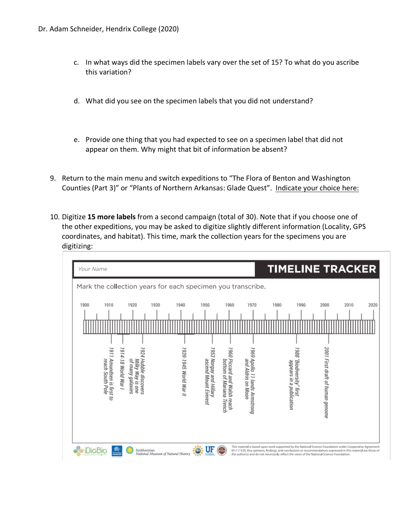- c. In what ways did the specimen labels vary over the set of 15? To what do you ascribe this variation?
- d. What did you see on the specimen labels that you did not understand?
- e. Provide one thing that you had expected to see on a specimen label that did not appear on them. Why might that bit of information be absent?
- 9. Return to the main menu and switch expeditions to "The Flora of Benton and Washington Counties (Part 3)" or "Plants of Northern Arkansas: Glade Quest". Indicate your choice here:
- 10. Digitize **15 more labels** from a second campaign (total of 30). Note that if you choose one of the other expeditions, you may be asked to digitize slightly different information (Locality, GPS coordinates, and habitat). This time, mark the collection years for the specimens you are digitizing: